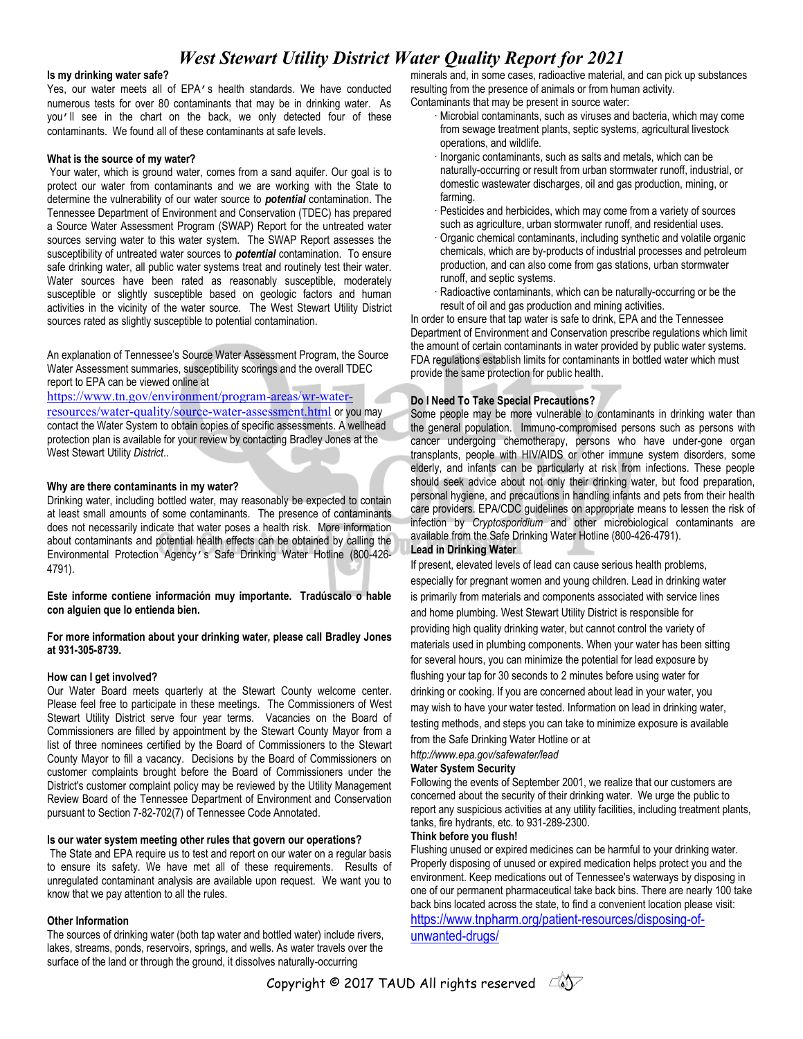# *West Stewart Utility District Water Quality Report for 2021*

#### **Is my drinking water safe?**

Yes, our water meets all of EPA's health standards. We have conducted numerous tests for over 80 contaminants that may be in drinking water. As you'll see in the chart on the back, we only detected four of these contaminants. We found all of these contaminants at safe levels.

#### **What is the source of my water?**

Your water, which is ground water, comes from a sand aquifer. Our goal is to protect our water from contaminants and we are working with the State to determine the vulnerability of our water source to *potential* contamination. The Tennessee Department of Environment and Conservation (TDEC) has prepared a Source Water Assessment Program (SWAP) Report for the untreated water sources serving water to this water system. The SWAP Report assesses the susceptibility of untreated water sources to *potential* contamination. To ensure safe drinking water, all public water systems treat and routinely test their water. Water sources have been rated as reasonably susceptible, moderately susceptible or slightly susceptible based on geologic factors and human activities in the vicinity of the water source. The West Stewart Utility District sources rated as slightly susceptible to potential contamination.

An explanation of Tennessee's Source Water Assessment Program, the Source Water Assessment summaries, susceptibility scorings and the overall TDEC report to EPA can be viewed online at

[https://www.tn.gov/environment/program-areas/wr-water](https://www.tn.gov/environment/program-areas/wr-water-resources/water-quality/source-water-assessment.html)[resources/water-quality/source-water-assessment.html](https://www.tn.gov/environment/program-areas/wr-water-resources/water-quality/source-water-assessment.html) or you may contact the Water System to obtain copies of specific assessments. A wellhead protection plan is available for your review by contacting Bradley Jones at the West Stewart Utility *District*..

#### **Why are there contaminants in my water?**

Drinking water, including bottled water, may reasonably be expected to contain at least small amounts of some contaminants. The presence of contaminants does not necessarily indicate that water poses a health risk. More information about contaminants and potential health effects can be obtained by calling the Environmental Protection Agency's Safe Drinking Water Hotline (800-426- 4791).

**Este informe contiene información muy importante. Tradúscalo o hable con alguien que lo entienda bien.**

**For more information about your drinking water, please call Bradley Jones at 931-305-8739.**

#### **How can I get involved?**

Our Water Board meets quarterly at the Stewart County welcome center. Please feel free to participate in these meetings. The Commissioners of West Stewart Utility District serve four year terms. Vacancies on the Board of Commissioners are filled by appointment by the Stewart County Mayor from a list of three nominees certified by the Board of Commissioners to the Stewart County Mayor to fill a vacancy. Decisions by the Board of Commissioners on customer complaints brought before the Board of Commissioners under the District's customer complaint policy may be reviewed by the Utility Management Review Board of the Tennessee Department of Environment and Conservation pursuant to Section 7-82-702(7) of Tennessee Code Annotated.

#### **Is our water system meeting other rules that govern our operations?**

The State and EPA require us to test and report on our water on a regular basis to ensure its safety. We have met all of these requirements. Results of unregulated contaminant analysis are available upon request. We want you to know that we pay attention to all the rules.

#### **Other Information**

The sources of drinking water (both tap water and bottled water) include rivers, lakes, streams, ponds, reservoirs, springs, and wells. As water travels over the surface of the land or through the ground, it dissolves naturally-occurring

minerals and, in some cases, radioactive material, and can pick up substances resulting from the presence of animals or from human activity.

- Contaminants that may be present in source water:
	- · Microbial contaminants, such as viruses and bacteria, which may come from sewage treatment plants, septic systems, agricultural livestock operations, and wildlife.
	- · Inorganic contaminants, such as salts and metals, which can be naturally-occurring or result from urban stormwater runoff, industrial, or domestic wastewater discharges, oil and gas production, mining, or farming.
	- Pesticides and herbicides, which may come from a variety of sources such as agriculture, urban stormwater runoff, and residential uses. · Organic chemical contaminants, including synthetic and volatile organic chemicals, which are by-products of industrial processes and petroleum production, and can also come from gas stations, urban stormwater runoff, and septic systems.
	- Radioactive contaminants, which can be naturally-occurring or be the result of oil and gas production and mining activities.

In order to ensure that tap water is safe to drink, EPA and the Tennessee Department of Environment and Conservation prescribe regulations which limit the amount of certain contaminants in water provided by public water systems. FDA regulations establish limits for contaminants in bottled water which must provide the same protection for public health.

#### **Do I Need To Take Special Precautions?**

Some people may be more vulnerable to contaminants in drinking water than the general population. Immuno-compromised persons such as persons with cancer undergoing chemotherapy, persons who have under-gone organ transplants, people with HIV/AIDS or other immune system disorders, some elderly, and infants can be particularly at risk from infections. These people should seek advice about not only their drinking water, but food preparation, personal hygiene, and precautions in handling infants and pets from their health care providers. EPA/CDC guidelines on appropriate means to lessen the risk of infection by *Cryptosporidium* and other microbiological contaminants are available from the Safe Drinking Water Hotline (800-426-4791).

**Lead in Drinking Water**

If present, elevated levels of lead can cause serious health problems, especially for pregnant women and young children. Lead in drinking water is primarily from materials and components associated with service lines and home plumbing. West Stewart Utility District is responsible for providing high quality drinking water, but cannot control the variety of materials used in plumbing components. When your water has been sitting for several hours, you can minimize the potential for lead exposure by flushing your tap for 30 seconds to 2 minutes before using water for drinking or cooking. If you are concerned about lead in your water, you may wish to have your water tested. Information on lead in drinking water, testing methods, and steps you can take to minimize exposure is available from the Safe Drinking Water Hotline or at

h*ttp://www.epa.gov/safewater/lead*

### **Water System Security**

Following the events of September 2001, we realize that our customers are concerned about the security of their drinking water. We urge the public to report any suspicious activities at any utility facilities, including treatment plants, tanks, fire hydrants, etc. to 931-289-2300.

#### **Think before you flush!**

Flushing unused or expired medicines can be harmful to your drinking water. Properly disposing of unused or expired medication helps protect you and the environment. Keep medications out of Tennessee's waterways by disposing in one of our permanent pharmaceutical take back bins. There are nearly 100 take back bins located across the state, to find a convenient location please visit: [https://www.tnpharm.org/patient-resources/disposing-of](https://www.tnpharm.org/patient-resources/disposing-of-unwanted-drugs/)[unwanted-drugs/](https://www.tnpharm.org/patient-resources/disposing-of-unwanted-drugs/)